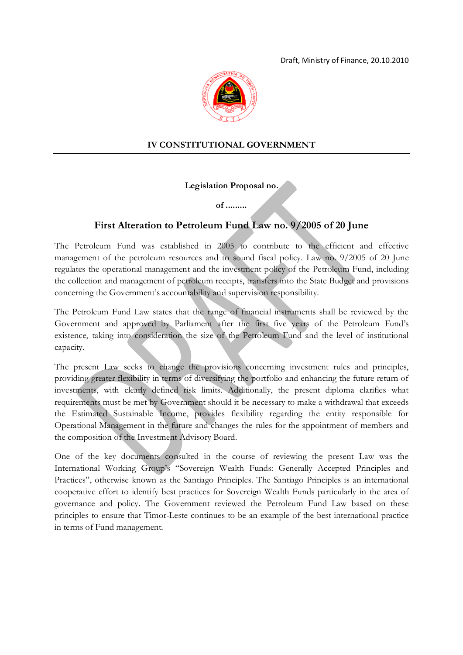

## **IV CONSTITUTIONAL GOVERNMENT**

**Legislation Proposal no.**

**of .........**

# **First Alteration to Petroleum Fund Law no. 9/2005 of 20 June**

The Petroleum Fund was established in 2005 to contribute to the efficient and effective management of the petroleum resources and to sound fiscal policy. Law no. 9/2005 of 20 June regulates the operational management and the investment policy of the Petroleum Fund, including the collection and management of petroleum receipts, transfers into the State Budget and provisions concerning the Government's accountability and supervision responsibility.

The Petroleum Fund Law states that the range of financial instruments shall be reviewed by the Government and approved by Parliament after the first five years of the Petroleum Fund's existence, taking into consideration the size of the Petroleum Fund and the level of institutional capacity.

The present Law seeks to change the provisions concerning investment rules and principles, providing greater flexibility in terms of diversifying the portfolio and enhancing the future return of investments, with clearly defined risk limits. Additionally, the present diploma clarifies what requirements must be met by Government should it be necessary to make a withdrawal that exceeds the Estimated Sustainable Income, provides flexibility regarding the entity responsible for Operational Management in the future and changes the rules for the appointment of members and the composition of the Investment Advisory Board.

One of the key documents consulted in the course of reviewing the present Law was the International Working Group's "Sovereign Wealth Funds: Generally Accepted Principles and Practices", otherwise known as the Santiago Principles. The Santiago Principles is an international cooperative effort to identify best practices for Sovereign Wealth Funds particularly in the area of governance and policy. The Government reviewed the Petroleum Fund Law based on these principles to ensure that Timor-Leste continues to be an example of the best international practice in terms of Fund management.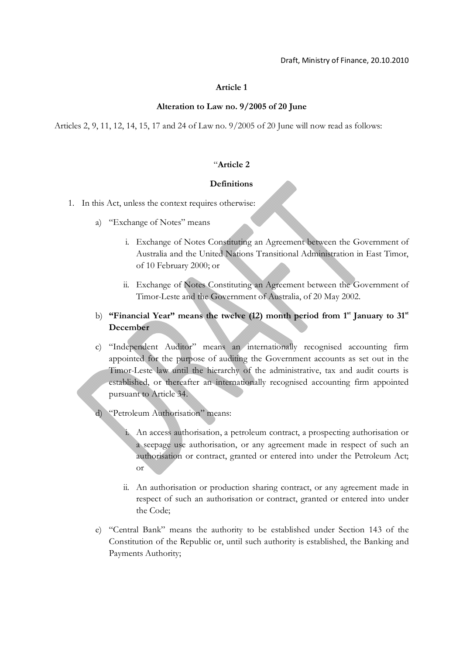#### **Alteration to Law no. 9/2005 of 20 June**

Articles 2, 9, 11, 12, 14, 15, 17 and 24 of Law no. 9/2005 of 20 June will now read as follows:

#### "**Article 2**

#### **Definitions**

- 1. In this Act, unless the context requires otherwise:
	- a) "Exchange of Notes" means
		- i. Exchange of Notes Constituting an Agreement between the Government of Australia and the United Nations Transitional Administration in East Timor, of 10 February 2000; or
		- ii. Exchange of Notes Constituting an Agreement between the Government of Timor-Leste and the Government of Australia, of 20 May 2002.
	- b) **"Financial Year"** means the twelve (12) month period from 1<sup>st</sup> January to 31<sup>st</sup> **December**
	- c) "Independent Auditor" means an internationally recognised accounting firm appointed for the purpose of auditing the Government accounts as set out in the Timor-Leste law until the hierarchy of the administrative, tax and audit courts is established, or thereafter an internationally recognised accounting firm appointed pursuant to Article 34.
	- d) "Petroleum Authorisation" means:
		- i. An access authorisation, a petroleum contract, a prospecting authorisation or a seepage use authorisation, or any agreement made in respect of such an authorisation or contract, granted or entered into under the Petroleum Act; or
		- ii. An authorisation or production sharing contract, or any agreement made in respect of such an authorisation or contract, granted or entered into under the Code;
	- e) "Central Bank" means the authority to be established under Section 143 of the Constitution of the Republic or, until such authority is established, the Banking and Payments Authority;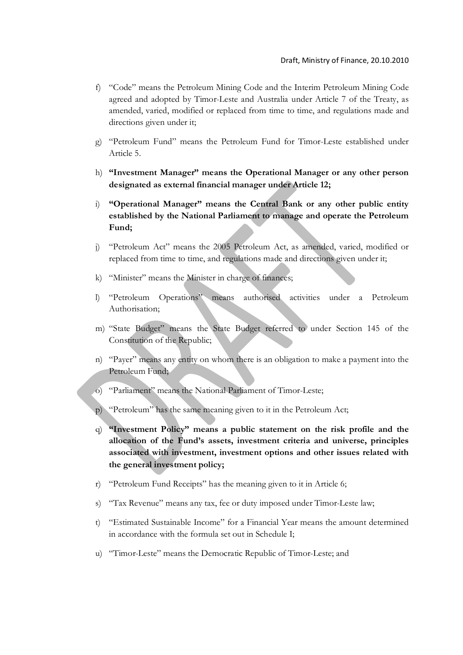- f) "Code" means the Petroleum Mining Code and the Interim Petroleum Mining Code agreed and adopted by Timor-Leste and Australia under Article 7 of the Treaty, as amended, varied, modified or replaced from time to time, and regulations made and directions given under it;
- g) "Petroleum Fund" means the Petroleum Fund for Timor-Leste established under Article 5.
- h) **"Investment Manager" means the Operational Manager or any other person designated as external financial manager under Article 12;**
- i) **"Operational Manager" means the Central Bank or any other public entity established by the National Parliament to manage and operate the Petroleum Fund;**
- j) "Petroleum Act" means the 2005 Petroleum Act, as amended, varied, modified or replaced from time to time, and regulations made and directions given under it;
- k) "Minister" means the Minister in charge of finances;
- l) "Petroleum Operations" means authorised activities under a Petroleum Authorisation;
- m) "State Budget" means the State Budget referred to under Section 145 of the Constitution of the Republic;
- n) "Payer" means any entity on whom there is an obligation to make a payment into the Petroleum Fund;
- o) "Parliament" means the National Parliament of Timor-Leste;
- p) "Petroleum" has the same meaning given to it in the Petroleum Act;
- q) **"Investment Policy" means a public statement on the risk profile and the allocation of the Fund's assets, investment criteria and universe, principles associated with investment, investment options and other issues related with the general investment policy;**
- r) "Petroleum Fund Receipts" has the meaning given to it in Article 6;
- s) "Tax Revenue" means any tax, fee or duty imposed under Timor-Leste law;
- t) "Estimated Sustainable Income" for a Financial Year means the amount determined in accordance with the formula set out in Schedule I;
- u) "Timor-Leste" means the Democratic Republic of Timor-Leste; and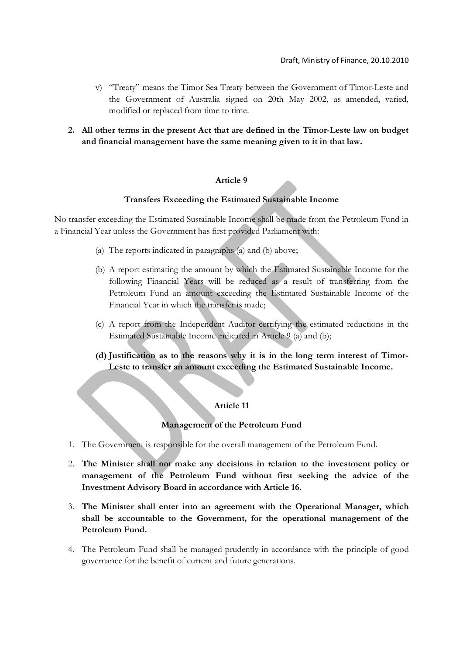- v) "Treaty" means the Timor Sea Treaty between the Government of Timor-Leste and the Government of Australia signed on 20th May 2002, as amended, varied, modified or replaced from time to time.
- **2. All other terms in the present Act that are defined in the Timor-Leste law on budget and financial management have the same meaning given to it in that law.**

### **Transfers Exceeding the Estimated Sustainable Income**

No transfer exceeding the Estimated Sustainable Income shall be made from the Petroleum Fund in a Financial Year unless the Government has first provided Parliament with:

- (a) The reports indicated in paragraphs (a) and (b) above;
- (b) A report estimating the amount by which the Estimated Sustainable Income for the following Financial Years will be reduced as a result of transferring from the Petroleum Fund an amount exceeding the Estimated Sustainable Income of the Financial Year in which the transfer is made;
- (c) A report from the Independent Auditor certifying the estimated reductions in the Estimated Sustainable Income indicated in Article 9 (a) and (b);
- **(d) Justification as to the reasons why it is in the long term interest of Timor-Leste to transfer an amount exceeding the Estimated Sustainable Income.**

## **Article 11**

#### **Management of the Petroleum Fund**

- 1. The Government is responsible for the overall management of the Petroleum Fund.
- 2. **The Minister shall not make any decisions in relation to the investment policy or management of the Petroleum Fund without first seeking the advice of the Investment Advisory Board in accordance with Article 16.**
- 3. **The Minister shall enter into an agreement with the Operational Manager, which shall be accountable to the Government, for the operational management of the Petroleum Fund.**
- 4. The Petroleum Fund shall be managed prudently in accordance with the principle of good governance for the benefit of current and future generations.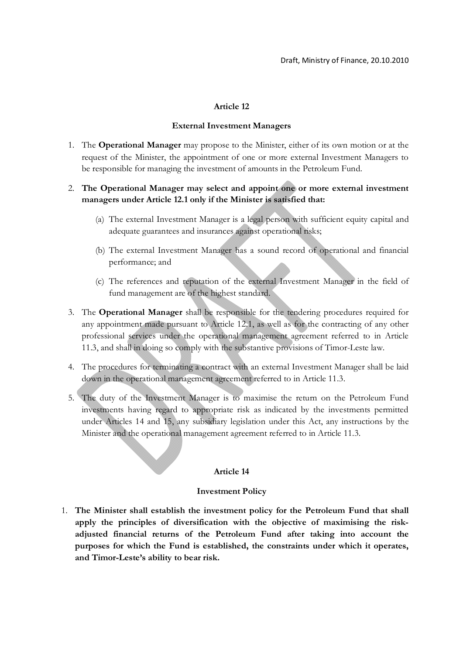#### **External Investment Managers**

1. The **Operational Manager** may propose to the Minister, either of its own motion or at the request of the Minister, the appointment of one or more external Investment Managers to be responsible for managing the investment of amounts in the Petroleum Fund.

## 2. **The Operational Manager may select and appoint one or more external investment managers under Article 12.1 only if the Minister is satisfied that:**

- (a) The external Investment Manager is a legal person with sufficient equity capital and adequate guarantees and insurances against operational risks;
- (b) The external Investment Manager has a sound record of operational and financial performance; and
- (c) The references and reputation of the external Investment Manager in the field of fund management are of the highest standard.
- 3. The **Operational Manager** shall be responsible for the tendering procedures required for any appointment made pursuant to Article 12.1, as well as for the contracting of any other professional services under the operational management agreement referred to in Article 11.3, and shall in doing so comply with the substantive provisions of Timor-Leste law.
- 4. The procedures for terminating a contract with an external Investment Manager shall be laid down in the operational management agreement referred to in Article 11.3.
- 5. The duty of the Investment Manager is to maximise the return on the Petroleum Fund investments having regard to appropriate risk as indicated by the investments permitted under Articles 14 and 15, any subsidiary legislation under this Act, any instructions by the Minister and the operational management agreement referred to in Article 11.3.

## **Article 14**

#### **Investment Policy**

1. **The Minister shall establish the investment policy for the Petroleum Fund that shall apply the principles of diversification with the objective of maximising the riskadjusted financial returns of the Petroleum Fund after taking into account the purposes for which the Fund is established, the constraints under which it operates, and Timor-Leste's ability to bear risk.**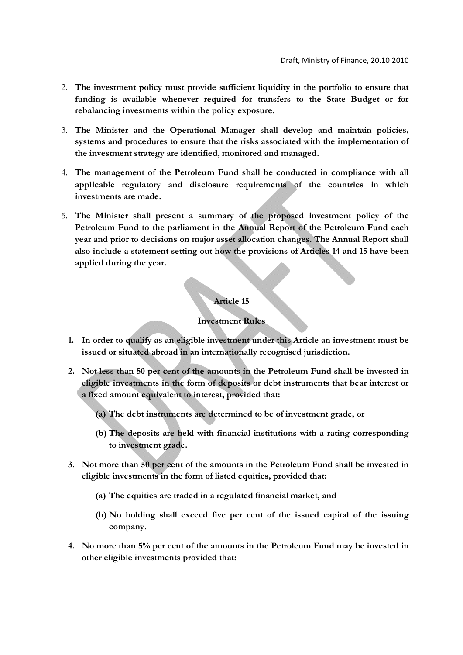- 2. **The investment policy must provide sufficient liquidity in the portfolio to ensure that funding is available whenever required for transfers to the State Budget or for rebalancing investments within the policy exposure.**
- 3. **The Minister and the Operational Manager shall develop and maintain policies, systems and procedures to ensure that the risks associated with the implementation of the investment strategy are identified, monitored and managed.**
- 4. **The management of the Petroleum Fund shall be conducted in compliance with all applicable regulatory and disclosure requirements of the countries in which investments are made.**
- 5. **The Minister shall present a summary of the proposed investment policy of the Petroleum Fund to the parliament in the Annual Report of the Petroleum Fund each year and prior to decisions on major asset allocation changes. The Annual Report shall also include a statement setting out how the provisions of Articles 14 and 15 have been applied during the year.**

## **Investment Rules**

- **1. In order to qualify as an eligible investment under this Article an investment must be issued or situated abroad in an internationally recognised jurisdiction.**
- **2. Not less than 50 per cent of the amounts in the Petroleum Fund shall be invested in eligible investments in the form of deposits or debt instruments that bear interest or a fixed amount equivalent to interest, provided that:**
	- **(a) The debt instruments are determined to be of investment grade, or**
	- **(b) The deposits are held with financial institutions with a rating corresponding to investment grade.**
- **3. Not more than 50 per cent of the amounts in the Petroleum Fund shall be invested in eligible investments in the form of listed equities, provided that:**
	- **(a) The equities are traded in a regulated financial market, and**
	- **(b) No holding shall exceed five per cent of the issued capital of the issuing company.**
- **4. No more than 5% per cent of the amounts in the Petroleum Fund may be invested in other eligible investments provided that:**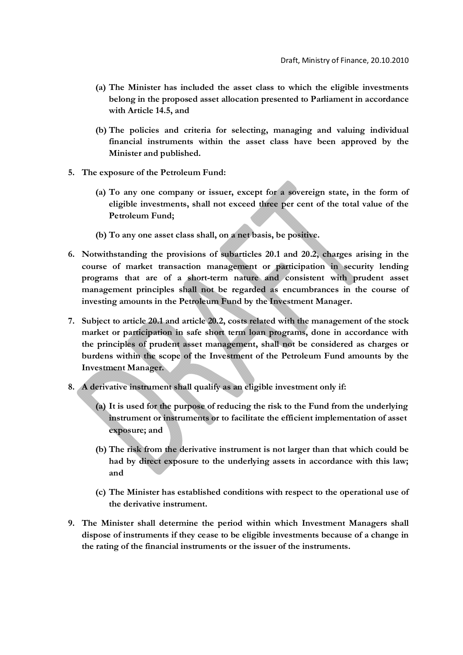- **(a) The Minister has included the asset class to which the eligible investments belong in the proposed asset allocation presented to Parliament in accordance with Article 14.5, and**
- **(b) The policies and criteria for selecting, managing and valuing individual financial instruments within the asset class have been approved by the Minister and published.**
- **5. The exposure of the Petroleum Fund:**
	- **(a) To any one company or issuer, except for a sovereign state, in the form of eligible investments, shall not exceed three per cent of the total value of the Petroleum Fund;**
	- **(b) To any one asset class shall, on a net basis, be positive.**
- **6. Notwithstanding the provisions of subarticles 20.1 and 20.2, charges arising in the course of market transaction management or participation in security lending programs that are of a short-term nature and consistent with prudent asset management principles shall not be regarded as encumbrances in the course of investing amounts in the Petroleum Fund by the Investment Manager.**
- **7. Subject to article 20.1 and article 20.2, costs related with the management of the stock market or participation in safe short term loan programs, done in accordance with the principles of prudent asset management, shall not be considered as charges or burdens within the scope of the Investment of the Petroleum Fund amounts by the Investment Manager.**
- **8. A derivative instrument shall qualify as an eligible investment only if:**
	- **(a) It is used for the purpose of reducing the risk to the Fund from the underlying instrument or instruments or to facilitate the efficient implementation of asset exposure; and**
	- **(b) The risk from the derivative instrument is not larger than that which could be had by direct exposure to the underlying assets in accordance with this law; and**
	- **(c) The Minister has established conditions with respect to the operational use of the derivative instrument.**
- **9. The Minister shall determine the period within which Investment Managers shall dispose of instruments if they cease to be eligible investments because of a change in the rating of the financial instruments or the issuer of the instruments.**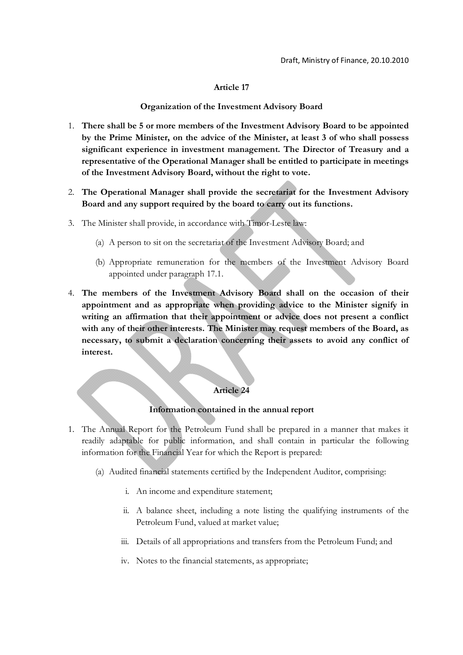#### **Organization of the Investment Advisory Board**

- 1. **There shall be 5 or more members of the Investment Advisory Board to be appointed by the Prime Minister, on the advice of the Minister, at least 3 of who shall possess significant experience in investment management. The Director of Treasury and a representative of the Operational Manager shall be entitled to participate in meetings of the Investment Advisory Board, without the right to vote.**
- 2. **The Operational Manager shall provide the secretariat for the Investment Advisory Board and any support required by the board to carry out its functions.**
- 3. The Minister shall provide, in accordance with Timor-Leste law:
	- (a) A person to sit on the secretariat of the Investment Advisory Board; and
	- (b) Appropriate remuneration for the members of the Investment Advisory Board appointed under paragraph 17.1.
- 4. **The members of the Investment Advisory Board shall on the occasion of their appointment and as appropriate when providing advice to the Minister signify in writing an affirmation that their appointment or advice does not present a conflict with any of their other interests. The Minister may request members of the Board, as necessary, to submit a declaration concerning their assets to avoid any conflict of interest.**

#### **Article 24**

#### **Information contained in the annual report**

- 1. The Annual Report for the Petroleum Fund shall be prepared in a manner that makes it readily adaptable for public information, and shall contain in particular the following information for the Financial Year for which the Report is prepared:
	- (a) Audited financial statements certified by the Independent Auditor, comprising:
		- i. An income and expenditure statement;
		- ii. A balance sheet, including a note listing the qualifying instruments of the Petroleum Fund, valued at market value;
		- iii. Details of all appropriations and transfers from the Petroleum Fund; and
		- iv. Notes to the financial statements, as appropriate;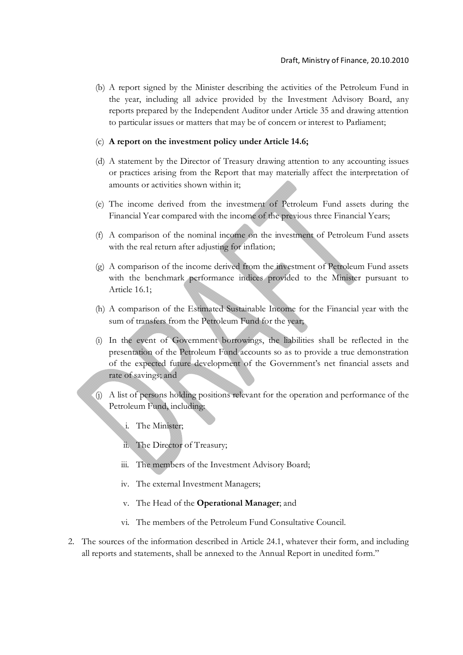(b) A report signed by the Minister describing the activities of the Petroleum Fund in the year, including all advice provided by the Investment Advisory Board, any reports prepared by the Independent Auditor under Article 35 and drawing attention to particular issues or matters that may be of concern or interest to Parliament;

#### (c) **A report on the investment policy under Article 14.6;**

- (d) A statement by the Director of Treasury drawing attention to any accounting issues or practices arising from the Report that may materially affect the interpretation of amounts or activities shown within it;
- (e) The income derived from the investment of Petroleum Fund assets during the Financial Year compared with the income of the previous three Financial Years;
- (f) A comparison of the nominal income on the investment of Petroleum Fund assets with the real return after adjusting for inflation;
- (g) A comparison of the income derived from the investment of Petroleum Fund assets with the benchmark performance indices provided to the Minister pursuant to Article 16.1;
- (h) A comparison of the Estimated Sustainable Income for the Financial year with the sum of transfers from the Petroleum Fund for the year;
- (i) In the event of Government borrowings, the liabilities shall be reflected in the presentation of the Petroleum Fund accounts so as to provide a true demonstration of the expected future development of the Government's net financial assets and rate of savings; and
- (j) A list of persons holding positions relevant for the operation and performance of the Petroleum Fund, including:
	- i. The Minister;
	- ii. The Director of Treasury;
	- iii. The members of the Investment Advisory Board;
	- iv. The external Investment Managers;
	- v. The Head of the **Operational Manager**; and
	- vi. The members of the Petroleum Fund Consultative Council.
- 2. The sources of the information described in Article 24.1, whatever their form, and including all reports and statements, shall be annexed to the Annual Report in unedited form."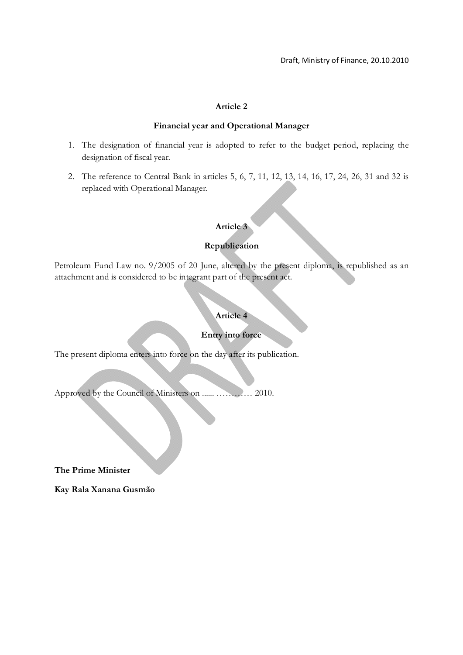#### **Financial year and Operational Manager**

- 1. The designation of financial year is adopted to refer to the budget period, replacing the designation of fiscal year.
- 2. The reference to Central Bank in articles 5, 6, 7, 11, 12, 13, 14, 16, 17, 24, 26, 31 and 32 is replaced with Operational Manager.

## **Article 3**

## **Republication**

Petroleum Fund Law no. 9/2005 of 20 June, altered by the present diploma, is republished as an attachment and is considered to be integrant part of the present act.

## **Article 4**

## **Entry into force**

The present diploma enters into force on the day after its publication.

Approved by the Council of Ministers on ...... ………… 2010.

**The Prime Minister**

**Kay Rala Xanana Gusmão**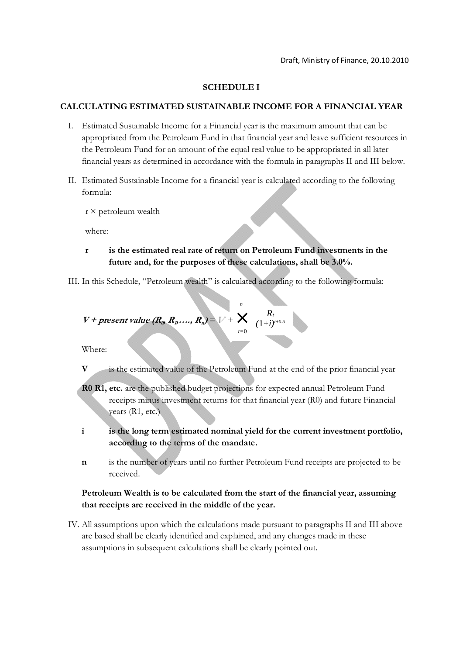### **SCHEDULE I**

#### **CALCULATING ESTIMATED SUSTAINABLE INCOME FOR A FINANCIAL YEAR**

- I. Estimated Sustainable Income for a Financial year is the maximum amount that can be appropriated from the Petroleum Fund in that financial year and leave sufficient resources in the Petroleum Fund for an amount of the equal real value to be appropriated in all later financial years as determined in accordance with the formula in paragraphs II and III below.
- II. Estimated Sustainable Income for a financial year is calculated according to the following formula:
	- $r \times$  petroleum wealth

where:

- **r is the estimated real rate of return on Petroleum Fund investments in the future and, for the purposes of these calculations, shall be 3.0%.**
- III. In this Schedule, "Petroleum wealth" is calculated according to the following formula:

$$
V + present value (R_{\omega}, R_{\nu}, ..., R_{n}) = V + \bigcup_{t=0}^{n} \frac{R_{t}}{(1+i)^{t+0.5}}
$$

Where:

- **V** is the estimated value of the Petroleum Fund at the end of the prior financial year
- **R0 R1, etc.** are the published budget projections for expected annual Petroleum Fund receipts minus investment returns for that financial year (R0) and future Financial years (R1, etc.)
- **i is the long term estimated nominal yield for the current investment portfolio, according to the terms of the mandate.**
- **n** is the number of years until no further Petroleum Fund receipts are projected to be received.

## **Petroleum Wealth is to be calculated from the start of the financial year, assuming that receipts are received in the middle of the year.**

IV. All assumptions upon which the calculations made pursuant to paragraphs II and III above are based shall be clearly identified and explained, and any changes made in these assumptions in subsequent calculations shall be clearly pointed out.